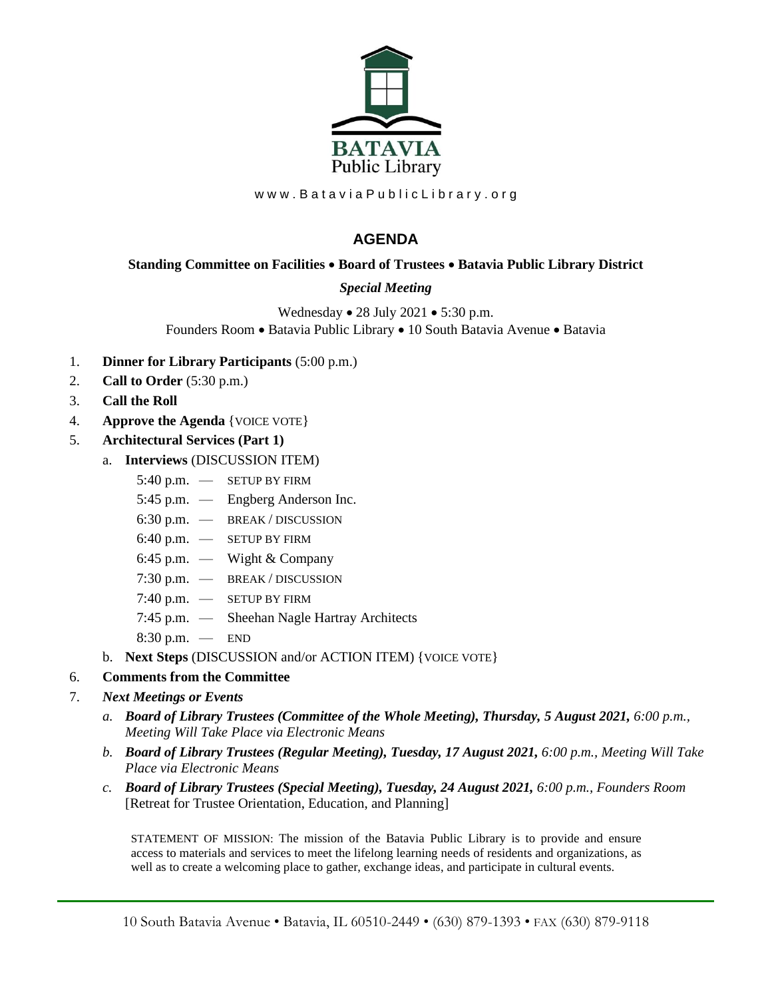

www.BataviaPublicLibrary.org

## **AGENDA**

## **Standing Committee on Facilities** • **Board of Trustees** • **Batavia Public Library District**

## *Special Meeting*

Wednesday • 28 July 2021 • 5:30 p.m. Founders Room • Batavia Public Library • 10 South Batavia Avenue • Batavia

- 1. **Dinner for Library Participants** (5:00 p.m.)
- 2. **Call to Order** (5:30 p.m.)
- 3. **Call the Roll**
- 4. **Approve the Agenda** {VOICE VOTE}
- 5. **Architectural Services (Part 1)**
	- a. **Interviews** (DISCUSSION ITEM)
		- 5:40 p.m. SETUP BY FIRM
		- 5:45 p.m. Engberg Anderson Inc.
		- 6:30 p.m. BREAK / DISCUSSION
		- 6:40 p.m. SETUP BY FIRM
		- 6:45 p.m. Wight & Company
		- 7:30 p.m. BREAK / DISCUSSION
		- 7:40 p.m. SETUP BY FIRM
		- 7:45 p.m. Sheehan Nagle Hartray Architects
		- 8:30 p.m. END
	- b. **Next Steps** (DISCUSSION and/or ACTION ITEM) {VOICE VOTE}
- 6. **Comments from the Committee**

## 7. *Next Meetings or Events*

- *a. Board of Library Trustees (Committee of the Whole Meeting), Thursday, 5 August 2021, 6:00 p.m., Meeting Will Take Place via Electronic Means*
- *b. Board of Library Trustees (Regular Meeting), Tuesday, 17 August 2021, 6:00 p.m., Meeting Will Take Place via Electronic Means*
- *c. Board of Library Trustees (Special Meeting), Tuesday, 24 August 2021, 6:00 p.m., Founders Room* [Retreat for Trustee Orientation, Education, and Planning]

STATEMENT OF MISSION: The mission of the Batavia Public Library is to provide and ensure access to materials and services to meet the lifelong learning needs of residents and organizations, as well as to create a welcoming place to gather, exchange ideas, and participate in cultural events.